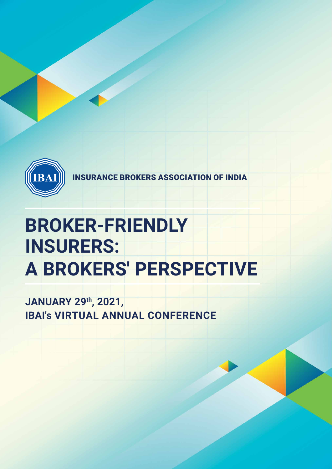

INSURANCE BROKERS ASSOCIATION OF INDIA

# **A BROKERS' PERSPECTIVE BROKER-FRIENDLY INSURERS:**

# **JANUARY 29th, 2021, IBAI's VIRTUAL ANNUAL CONFERENCE**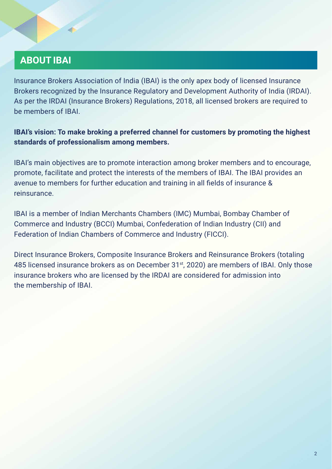## **ABOUT IBAI**

Insurance Brokers Association of India (IBAI) is the only apex body of licensed Insurance Brokers recognized by the Insurance Regulatory and Development Authority of India (IRDAI). As per the IRDAI (Insurance Brokers) Regulations, 2018, all licensed brokers are required to be members of IBAI.

#### **IBAI's vision: To make broking a preferred channel for customers by promoting the highest standards of professionalism among members.**

IBAI's main objectives are to promote interaction among broker members and to encourage, promote, facilitate and protect the interests of the members of IBAI. The IBAI provides an avenue to members for further education and training in all fields of insurance & reinsurance.

IBAI is a member of Indian Merchants Chambers (IMC) Mumbai, Bombay Chamber of Commerce and Industry (BCCI) Mumbai, Confederation of Indian Industry (CII) and Federation of Indian Chambers of Commerce and Industry (FICCI).

Direct Insurance Brokers, Composite Insurance Brokers and Reinsurance Brokers (totaling 485 licensed insurance brokers as on December 31<sup>st</sup>, 2020) are members of IBAI. Only those insurance brokers who are licensed by the IRDAI are considered for admission into the membership of IBAI.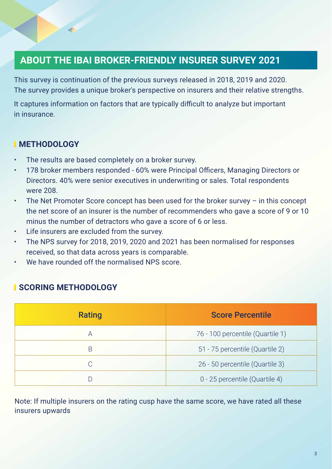## **ABOUT THE IBAI BROKER-FRIENDLY INSURER SURVEY 2021**

This survey is continuation of the previous surveys released in 2018, 2019 and 2020. The survey provides a unique broker's perspective on insurers and their relative strengths.

It captures information on factors that are typically difficult to analyze but important in insurance.

#### **METHODOLOGY**

- The results are based completely on a broker survey.
- 178 broker members responded 60% were Principal Officers, Managing Directors or Directors. 40% were senior executives in underwriting or sales. Total respondents were 208.
- The Net Promoter Score concept has been used for the broker survey  $-$  in this concept the net score of an insurer is the number of recommenders who gave a score of 9 or 10 minus the number of detractors who gave a score of 6 or less.
- Life insurers are excluded from the survey.
- The NPS survey for 2018, 2019, 2020 and 2021 has been normalised for responses received, so that data across years is comparable.
- We have rounded off the normalised NPS score.

#### **SCORING METHODOLOGY**

| Rating | <b>Score Percentile</b>          |
|--------|----------------------------------|
| A      | 76 - 100 percentile (Quartile 1) |
| B      | 51 - 75 percentile (Quartile 2)  |
| C      | 26 - 50 percentile (Quartile 3)  |
| D      | 0 - 25 percentile (Quartile 4)   |

Note: If multiple insurers on the rating cusp have the same score, we have rated all these insurers upwards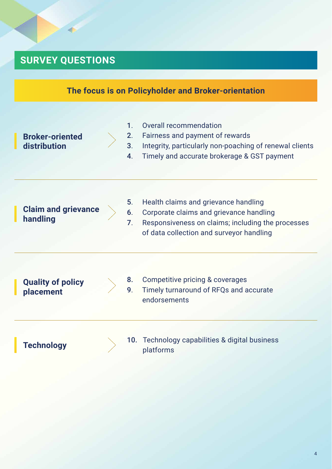# **SURVEY QUESTIONS**

|                                        |                                             | The focus is on Policyholder and Broker-orientation                                                                                                                              |
|----------------------------------------|---------------------------------------------|----------------------------------------------------------------------------------------------------------------------------------------------------------------------------------|
| <b>Broker-oriented</b><br>distribution | $1_{-}$<br>3 <sub>1</sub><br>4 <sup>1</sup> | Overall recommendation<br>Fairness and payment of rewards<br>Integrity, particularly non-poaching of renewal clients<br>Timely and accurate brokerage & GST payment              |
| <b>Claim and grievance</b><br>handling | 5.<br>6.<br>7 <sub>1</sub>                  | Health claims and grievance handling<br>Corporate claims and grievance handling<br>Responsiveness on claims; including the processes<br>of data collection and surveyor handling |
| <b>Quality of policy</b><br>placement  | 9.                                          | Competitive pricing & coverages<br>Timely turnaround of RFQs and accurate<br>endorsements                                                                                        |
| Technology                             | 10.                                         | Technology capabilities & digital business<br>platforms                                                                                                                          |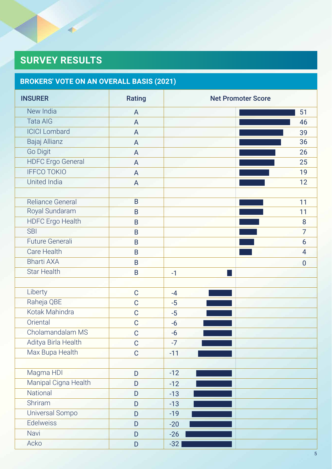# **SURVEY RESULTS**

# **BROKERS' VOTE ON AN OVERALL BASIS (2021)**

| <b>INSURER</b>           | Rating         | <b>Net Promoter Score</b> |
|--------------------------|----------------|---------------------------|
| New India                | A              | 51                        |
| <b>Tata AIG</b>          | $\overline{A}$ | 46                        |
| <b>ICICI</b> Lombard     | A              | 39                        |
| Bajaj Allianz            | A              | 36                        |
| Go Digit                 | $\overline{A}$ | 26                        |
| <b>HDFC</b> Ergo General | $\overline{A}$ | 25                        |
| <b>IFFCO TOKIO</b>       | A              | 19                        |
| United India             | A              | 12                        |
|                          |                |                           |
| Reliance General         | B              | 11                        |
| Royal Sundaram           | B              | 11                        |
| <b>HDFC</b> Ergo Health  | B              | 8                         |
| <b>SBI</b>               | $\mathsf B$    | $\overline{7}$            |
| Future Generali          | $\mathsf B$    | 6                         |
| Care Health              | $\sf B$        | $\overline{4}$            |
| <b>Bharti AXA</b>        | $\mathsf B$    | $\mathbf 0$               |
| <b>Star Health</b>       | $\mathsf B$    | $-1$                      |
|                          |                |                           |
| Liberty                  | $\mathbf C$    | $-4$                      |
| Raheja QBE               | $\mathbf C$    | $-5$                      |
| Kotak Mahindra           | $\mathsf{C}$   | $-5$                      |
| Oriental                 | $\mathbf C$    | $-6$                      |
| Cholamandalam MS         | $\mathbf C$    | $-6$                      |
| Aditya Birla Health      | $\mathbf C$    | $-7$                      |
| Max Bupa Health          | $\mathsf C$    | $-11$                     |
|                          |                |                           |
| Magma HDI                | D              | $-12$                     |
| Manipal Cigna Health     | D              | $-12$                     |
| National                 | D              | $-13$                     |
| Shriram                  | D              | $-13$                     |
| Universal Sompo          | ${\sf D}$      | $-19$                     |
| Edelweiss                | $\mathsf D$    | $-20$                     |
| Navi                     | $\mathsf D$    | $-26$                     |
| Acko                     | ${\sf D}$      | $-32$                     |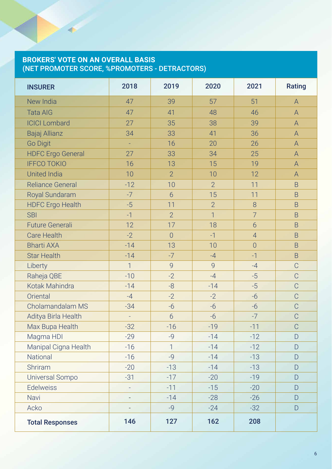#### **BROKERS' VOTE ON AN OVERALL BASIS** (NET PROMOTER SCORE, %PROMOTERS - DETRACTORS)

| <b>INSURER</b>           | 2018           | 2019            | 2020           | 2021           | Rating         |
|--------------------------|----------------|-----------------|----------------|----------------|----------------|
| New India                | 47             | 39              | 57             | 51             | A              |
| <b>Tata AIG</b>          | 47             | 41              | 48             | 46             | $\overline{A}$ |
| <b>ICICI Lombard</b>     | 27             | 35              | 38             | 39             | A              |
| Bajaj Allianz            | 34             | 33              | 41             | 36             | $\overline{A}$ |
| <b>Go Digit</b>          | L,             | 16              | 20             | 26             | $\overline{A}$ |
| <b>HDFC</b> Ergo General | 27             | 33              | 34             | 25             | $\overline{A}$ |
| <b>IFFCO TOKIO</b>       | 16             | 13              | 15             | 19             | А              |
| <b>United India</b>      | 10             | $\overline{2}$  | 10             | 12             | А              |
| <b>Reliance General</b>  | $-12$          | 10              | $\overline{2}$ | 11             | $\overline{B}$ |
| Royal Sundaram           | $-7$           | 6               | 15             | 11             | $\overline{B}$ |
| <b>HDFC Ergo Health</b>  | $-5$           | 11              | $\overline{2}$ | 8              | $\overline{B}$ |
| <b>SBI</b>               | $-1$           | $\overline{2}$  | $\overline{1}$ | $\overline{7}$ | $\overline{B}$ |
| <b>Future Generali</b>   | 12             | 17              | 18             | $\overline{6}$ | $\overline{B}$ |
| <b>Care Health</b>       | $-2$           | $\overline{0}$  | $-1$           | $\overline{4}$ | <sub>B</sub>   |
| <b>Bharti AXA</b>        | $-14$          | 13              | 10             | $\overline{0}$ | $\overline{B}$ |
| <b>Star Health</b>       | $-14$          | $-7$            | $-4$           | $-1$           | $\overline{B}$ |
| Liberty                  | $\overline{1}$ | 9               | 9              | $-4$           | $\overline{C}$ |
| Raheja QBE               | $-10$          | $-2$            | $-4$           | $-5$           | $\overline{C}$ |
| Kotak Mahindra           | $-14$          | $-8$            | $-14$          | $-5$           | $\mathcal{C}$  |
| Oriental                 | $-4$           | $-2$            | $-2$           | $-6$           | $\mathcal{C}$  |
| Cholamandalam MS         | $-34$          | $-6$            | $-6$           | $-6$           | $\mathcal{C}$  |
| Aditya Birla Health      | L,             | $6\overline{6}$ | $-6$           | $-7$           | $\overline{C}$ |
| Max Bupa Health          | $-32$          | $-16$           | $-19$          | $-11$          | $\overline{C}$ |
| Magma HDI                | $-29$          | $-9$            | $-14$          | $-12$          | D              |
| Manipal Cigna Health     | $-16$          | $\mathbf{1}$    | $-14$          | $-12$          | D              |
| National                 | $-16$          | $-9$            | $-14$          | $-13$          | D              |
| Shriram                  | $-20$          | $-13$           | $-14$          | $-13$          | D              |
| Universal Sompo          | $-31$          | $-17$           | $-20$          | $-19$          | D              |
| <b>Edelweiss</b>         | $\frac{1}{2}$  | $-11$           | $-15$          | $-20$          | D              |
| Navi                     | $\overline{a}$ | $-14$           | $-28$          | $-26$          | $\Box$         |
| Acko                     |                | $-9$            | $-24$          | $-32$          | $\mathsf{D}$   |
| <b>Total Responses</b>   | 146            | 127             | 162            | 208            |                |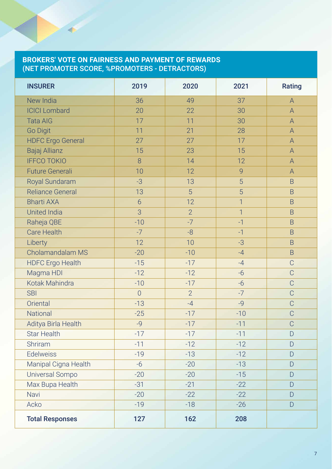#### **BROKERS' VOTE ON FAIRNESS AND PAYMENT OF REWARDS** (NET PROMOTER SCORE, %PROMOTERS - DETRACTORS)

| <b>INSURER</b>           | 2019           | 2020           | 2021           | Rating         |
|--------------------------|----------------|----------------|----------------|----------------|
| New India                | 36             | 49             | 37             | $\mathsf{A}$   |
| <b>ICICI Lombard</b>     | 20             | 22             | 30             | $\overline{A}$ |
| <b>Tata AIG</b>          | 17             | 11             | 30             | $\overline{A}$ |
| <b>Go Digit</b>          | 11             | 21             | 28             | $\overline{A}$ |
| <b>HDFC</b> Ergo General | 27             | 27             | 17             | $\overline{A}$ |
| Bajaj Allianz            | 15             | 23             | 15             | $\overline{A}$ |
| <b>IFFCO TOKIO</b>       | 8              | 14             | 12             | A              |
| <b>Future Generali</b>   | 10             | 12             | 9              | $\overline{A}$ |
| Royal Sundaram           | $-3$           | 13             | 5              | $\overline{B}$ |
| <b>Reliance General</b>  | 13             | 5              | 5              | $\mathsf B$    |
| <b>Bharti AXA</b>        | 6              | 12             | $\overline{1}$ | $\overline{B}$ |
| <b>United India</b>      | 3              | $\overline{2}$ | $\overline{1}$ | $\overline{B}$ |
| Raheja QBE               | $-10$          | $-7$           | $-1$           | $\mathsf B$    |
| <b>Care Health</b>       | $-7$           | $-8$           | $-1$           | $\overline{B}$ |
| Liberty                  | 12             | 10             | $-3$           | $\overline{B}$ |
| Cholamandalam MS         | $-20$          | $-10$          | $-4$           | $\overline{B}$ |
| <b>HDFC Ergo Health</b>  | $-15$          | $-17$          | $-4$           | $\mathsf C$    |
| Magma HDI                | $-12$          | $-12$          | $-6$           | $\mathcal{C}$  |
| Kotak Mahindra           | $-10$          | $-17$          | $-6$           | $\mathsf C$    |
| <b>SBI</b>               | $\overline{0}$ | $\overline{2}$ | $-7$           | $\mathcal{C}$  |
| Oriental                 | $-13$          | $-4$           | $-9$           | $\mathsf C$    |
| National                 | $-25$          | $-17$          | $-10$          | $\overline{C}$ |
| Aditya Birla Health      | $-9$           | $-17$          | $-11$          | $\mathcal{C}$  |
| <b>Star Health</b>       | $-17$          | $-17$          | $-11$          | D              |
| Shriram                  | $-11$          | $-12$          | $-12$          | D              |
| Edelweiss                | $-19$          | $-13$          | $-12$          | D              |
| Manipal Cigna Health     | $-6$           | $-20$          | $-13$          | D              |
| Universal Sompo          | $-20$          | $-20$          | $-15$          | D              |
| Max Bupa Health          | $-31$          | $-21$          | $-22$          | D              |
| Navi                     | $-20$          | $-22$          | $-22$          | D              |
| Acko                     | $-19$          | $-18$          | $-26$          | D              |
| <b>Total Responses</b>   | 127            | 162            | 208            |                |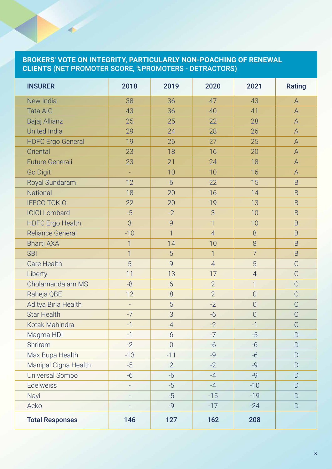#### **BROKERS' VOTE ON INTEGRITY, PARTICULARLY NON-POACHING OF RENEWAL CLIENTS** (NET PROMOTER SCORE, %PROMOTERS - DETRACTORS)

| <b>INSURER</b>           | 2018           | 2019           | 2020           | 2021           | Rating         |
|--------------------------|----------------|----------------|----------------|----------------|----------------|
| New India                | 38             | 36             | 47             | 43             | $\bigwedge$    |
| <b>Tata AIG</b>          | 43             | 36             | 40             | 41             | $\mathsf{A}$   |
| Bajaj Allianz            | 25             | 25             | 22             | 28             | $\overline{A}$ |
| <b>United India</b>      | 29             | 24             | 28             | 26             | $\overline{A}$ |
| <b>HDFC Ergo General</b> | 19             | 26             | 27             | 25             | $\overline{A}$ |
| Oriental                 | 23             | 18             | 16             | 20             | $\mathsf{A}$   |
| <b>Future Generali</b>   | 23             | 21             | 24             | 18             | $\mathsf A$    |
| <b>Go Digit</b>          | L,             | 10             | 10             | 16             | A              |
| Royal Sundaram           | 12             | 6              | 22             | 15             | B              |
| <b>National</b>          | 18             | 20             | 16             | 14             | $\overline{B}$ |
| <b>IFFCO TOKIO</b>       | 22             | 20             | 19             | 13             | $\overline{B}$ |
| <b>ICICI Lombard</b>     | $-5$           | $-2$           | 3              | 10             | $\overline{B}$ |
| <b>HDFC Ergo Health</b>  | 3              | 9              | $\overline{1}$ | 10             | B              |
| <b>Reliance General</b>  | $-10$          | $\overline{1}$ | $\overline{4}$ | 8              | B              |
| <b>Bharti AXA</b>        | $\overline{1}$ | 14             | 10             | 8              | $\mathsf B$    |
| <b>SBI</b>               | $\overline{1}$ | 5              | $\overline{1}$ | $\overline{7}$ | B              |
| <b>Care Health</b>       | 5              | 9              | $\overline{4}$ | 5              | С              |
| Liberty                  | 11             | 13             | 17             | $\overline{4}$ | $\mathsf C$    |
| Cholamandalam MS         | $-8$           | 6              | $\overline{2}$ | $\overline{1}$ | $\overline{C}$ |
| Raheja QBE               | 12             | 8              | $\overline{2}$ | $\overline{0}$ | $\mathsf C$    |
| Aditya Birla Health      | $\Box$         | 5              | $-2$           | $\overline{0}$ | $\mathcal{C}$  |
| <b>Star Health</b>       | $-7$           | 3              | $-6$           | $\overline{0}$ | $\mathcal{C}$  |
| Kotak Mahindra           | $-1$           | $\overline{4}$ | $-2$           | $-1$           | $\overline{C}$ |
| Magma HDI                | $-1$           | 6              | $-7$           | $-5$           | $\Box$         |
| Shriram                  | $-2$           | $\overline{0}$ | $-6$           | $-6$           | $\mathsf{D}$   |
| Max Bupa Health          | $-13$          | $-11$          | $-9$           | $-6$           | D              |
| Manipal Cigna Health     | $-5$           | $\overline{2}$ | $-2$           | $-Q$           | D              |
| <b>Universal Sompo</b>   | $-6$           | $-6$           | $-4$           | $-9$           | $\overline{D}$ |
| <b>Edelweiss</b>         | L,             | $-5$           | $-4$           | $-10$          | D              |
| Navi                     |                | $-5$           | $-15$          | $-19$          | D              |
| Acko                     |                | $-9$           | $-17$          | $-24$          | D              |
| <b>Total Responses</b>   | 146            | 127            | 162            | 208            |                |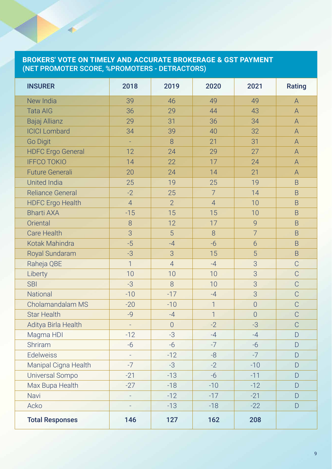#### **BROKERS' VOTE ON TIMELY AND ACCURATE BROKERAGE & GST PAYMENT** (NET PROMOTER SCORE, %PROMOTERS - DETRACTORS)

| <b>INSURER</b>           | 2018           | 2019           | 2020           | 2021           | Rating         |
|--------------------------|----------------|----------------|----------------|----------------|----------------|
| New India                | 39             | 46             | 49             | 49             | $\mathsf{A}$   |
| <b>Tata AIG</b>          | 36             | 29             | 44             | 43             | $\overline{A}$ |
| Bajaj Allianz            | 29             | 31             | 36             | 34             | A              |
| <b>ICICI Lombard</b>     | 34             | 39             | 40             | 32             | $\overline{A}$ |
| <b>Go Digit</b>          | L,             | 8              | 21             | 31             | A              |
| <b>HDFC Ergo General</b> | 12             | 24             | 29             | 27             | A              |
| <b>IFFCO TOKIO</b>       | 14             | 22             | 17             | 24             | $\overline{A}$ |
| <b>Future Generali</b>   | 20             | 24             | 14             | 21             | A              |
| <b>United India</b>      | 25             | 19             | 25             | 19             | B              |
| <b>Reliance General</b>  | $-2$           | 25             | $\overline{7}$ | 14             | B              |
| <b>HDFC Ergo Health</b>  | $\overline{4}$ | $\overline{2}$ | $\overline{4}$ | 10             | $\overline{B}$ |
| <b>Bharti AXA</b>        | $-15$          | 15             | 15             | 10             | B              |
| Oriental                 | 8              | 12             | 17             | 9              | $\overline{B}$ |
| <b>Care Health</b>       | 3              | 5              | $8\,$          | $\overline{7}$ | $\overline{B}$ |
| Kotak Mahindra           | $-5$           | $-4$           | $-6$           | 6              | B              |
| Royal Sundaram           | $-3$           | 3              | 15             | 5              | B              |
| Raheja QBE               | $\overline{1}$ | $\overline{4}$ | $-4$           | 3              | $\overline{C}$ |
| Liberty                  | 10             | 10             | 10             | 3              | $\overline{C}$ |
| <b>SBI</b>               | $-3$           | 8              | 10             | 3              | $\overline{C}$ |
| National                 | $-10$          | $-17$          | $-4$           | 3              | $\overline{C}$ |
| Cholamandalam MS         | $-20$          | $-10$          | $\overline{1}$ | $\overline{0}$ | $\overline{C}$ |
| <b>Star Health</b>       | $-Q$           | $-4$           | $\overline{1}$ | $\overline{0}$ | C              |
| Aditya Birla Health      | $\Box$         | $\overline{0}$ | $-2$           | $-3$           | $\overline{C}$ |
| Magma HDI                | $-12$          | $-3$           | $-4$           | $-4$           | $\overline{D}$ |
| Shriram                  | $-6$           | $-6$           | $-7$           | $-6$           | D              |
| <b>Edelweiss</b>         |                | $-12$          | -8             | $-7$           | D              |
| Manipal Cigna Health     | $-7$           | $-3$           | $-2$           | $-10$          | D              |
| <b>Universal Sompo</b>   | $-21$          | $-13$          | $-6$           | $-11$          | $\Box$         |
| Max Bupa Health          | $-27$          | $-18$          | $-10$          | $-12$          | $\Box$         |
| Navi                     |                | $-12$          | $-17$          | $-21$          | D              |
| Acko                     |                | $-13$          | $-18$          | $-22$          | D              |
| <b>Total Responses</b>   | 146            | 127            | 162            | 208            |                |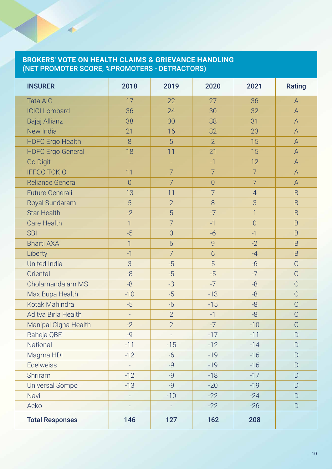#### **BROKERS' VOTE ON HEALTH CLAIMS & GRIEVANCE HANDLING** (NET PROMOTER SCORE, %PROMOTERS - DETRACTORS)

| <b>INSURER</b>           | 2018           | 2019           | 2020           | 2021           | Rating         |
|--------------------------|----------------|----------------|----------------|----------------|----------------|
| <b>Tata AIG</b>          | 17             | 22             | 27             | 36             | A              |
| <b>ICICI Lombard</b>     | 36             | 24             | 30             | 32             | $\overline{A}$ |
| Bajaj Allianz            | 38             | 30             | 38             | 31             | $\overline{A}$ |
| New India                | 21             | 16             | 32             | 23             | $\overline{A}$ |
| <b>HDFC</b> Ergo Health  | 8              | 5              | $\overline{2}$ | 15             | A              |
| <b>HDFC Ergo General</b> | 18             | 11             | 21             | 15             | $\overline{A}$ |
| <b>Go Digit</b>          | $\Box$         | $\Box$         | $-1$           | 12             | A              |
| <b>IFFCO TOKIO</b>       | 11             | $\overline{7}$ | $\overline{7}$ | $\overline{7}$ | $\mathsf{A}$   |
| <b>Reliance General</b>  | $\overline{0}$ | $\overline{7}$ | $\overline{0}$ | $\overline{7}$ | A              |
| <b>Future Generali</b>   | 13             | 11             | $\overline{7}$ | $\overline{4}$ | $\overline{B}$ |
| <b>Royal Sundaram</b>    | 5              | $\overline{2}$ | 8              | 3              | $\overline{B}$ |
| <b>Star Health</b>       | $-2$           | 5              | $-7$           | $\overline{1}$ | $\overline{B}$ |
| <b>Care Health</b>       | $\overline{1}$ | $\overline{7}$ | $-1$           | $\overline{0}$ | B.             |
| <b>SBI</b>               | $-5$           | $\overline{0}$ | $-6$           | $-1$           | $\overline{B}$ |
| <b>Bharti AXA</b>        | $\overline{1}$ | 6              | 9              | $-2$           | B              |
| Liberty                  | $-1$           | $\overline{7}$ | 6              | $-4$           | $\overline{B}$ |
| <b>United India</b>      | 3              | $-5$           | 5              | $-6$           | $\mathsf C$    |
| Oriental                 | $-8$           | $-5$           | $-5$           | $-7$           | $\overline{C}$ |
| Cholamandalam MS         | $-8$           | $-3$           | $-7$           | $-8$           | $\mathcal{C}$  |
| Max Bupa Health          | $-10$          | $-5$           | $-13$          | $-8$           | C              |
| Kotak Mahindra           | $-5$           | $-6$           | $-15$          | $-8$           | $\mathcal{C}$  |
| Aditya Birla Health      | $\Box$         | $\overline{2}$ | $-1$           | $-8$           | C              |
| Manipal Cigna Health     | $-2$           | $\overline{2}$ | $-7$           | $-10$          | $\mathcal{C}$  |
| Raheja QBE               | $-9$           |                | $-17$          | $-11$          | D              |
| National                 | $-11$          | $-15$          | $-12$          | $-14$          | D              |
| Magma HDI                | $-12$          | $-6$           | $-19$          | $-16$          | D              |
| <b>Edelweiss</b>         | $\frac{1}{2}$  | $-Q$           | $-19$          | $-16$          | $\Box$         |
| Shriram                  | $-12$          | $-9$           | $-18$          | $-17$          | D              |
| Universal Sompo          | $-13$          | $-9$           | $-20$          | $-19$          | $\overline{D}$ |
| Navi                     | L,             | $-10$          | $-22$          | $-24$          | D              |
| Acko                     |                |                | $-22$          | $-26$          | D              |
| <b>Total Responses</b>   | 146            | 127            | 162            | 208            |                |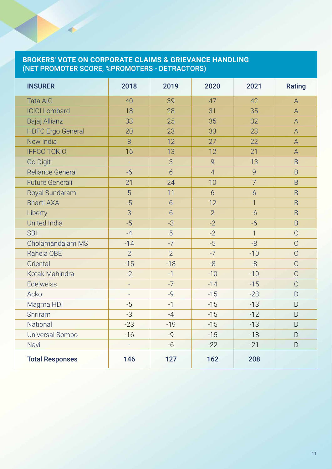#### **BROKERS' VOTE ON CORPORATE CLAIMS & GRIEVANCE HANDLING** (NET PROMOTER SCORE, %PROMOTERS - DETRACTORS)

| <b>INSURER</b>           | 2018           | 2019            | 2020           | 2021           | Rating         |
|--------------------------|----------------|-----------------|----------------|----------------|----------------|
| <b>Tata AIG</b>          | 40             | 39              | 47             | 42             | $\overline{A}$ |
| <b>ICICI Lombard</b>     | 18             | 28              | 31             | 35             | $\overline{A}$ |
| Bajaj Allianz            | 33             | 25              | 35             | 32             | $\mathsf{A}$   |
| <b>HDFC</b> Ergo General | 20             | 23              | 33             | 23             | $\overline{A}$ |
| New India                | 8              | 12              | 27             | 22             | $\mathsf{A}$   |
| <b>IFFCO TOKIO</b>       | 16             | 13              | 12             | 21             | $\overline{A}$ |
| Go Digit                 | ÷,             | 3               | $\overline{9}$ | 13             | $\overline{B}$ |
| <b>Reliance General</b>  | $-6$           | 6               | $\overline{4}$ | 9              | B              |
| <b>Future Generali</b>   | 21             | 24              | 10             | $\overline{7}$ | $\overline{B}$ |
| Royal Sundaram           | 5              | 11              | 6              | 6              | B              |
| <b>Bharti AXA</b>        | $-5$           | 6               | 12             | $\overline{1}$ | B              |
| Liberty                  | 3              | $6\overline{6}$ | $\overline{2}$ | $-6$           | B              |
| <b>United India</b>      | $-5$           | $-3$            | $-2$           | $-6$           | B              |
| <b>SBI</b>               | $-4$           | 5               | $-2$           | $\overline{1}$ | $\mathsf C$    |
| Cholamandalam MS         | $-14$          | $-7$            | $-5$           | $-8$           | $\overline{C}$ |
| Raheja QBE               | $\overline{2}$ | $\overline{2}$  | $-7$           | $-10$          | $\mathsf C$    |
| Oriental                 | $-15$          | $-18$           | $-8$           | $-8$           | $\mathsf C$    |
| Kotak Mahindra           | $-2$           | $-1$            | $-10$          | $-10$          | $\overline{C}$ |
| <b>Edelweiss</b>         | ÷,             | $-7$            | $-14$          | $-15$          | $\mathcal{C}$  |
| Acko                     | $\overline{a}$ | $-9$            | $-15$          | $-23$          | D              |
| Magma HDI                | $-5$           | $-1$            | $-15$          | $-13$          | D              |
| Shriram                  | $-3$           | $-4$            | $-15$          | $-12$          | D              |
| National                 | $-23$          | $-19$           | $-15$          | $-13$          | D              |
| Universal Sompo          | $-16$          | $-9$            | $-15$          | $-18$          | D              |
| Navi                     |                | $-6$            | $-22$          | $-21$          | D              |
| <b>Total Responses</b>   | 146            | 127             | 162            | 208            |                |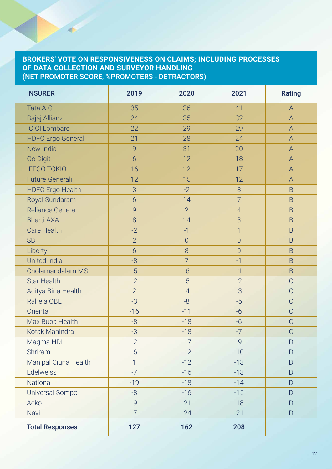#### **BROKERS' VOTE ON RESPONSIVENESS ON CLAIMS; INCLUDING PROCESSES OF DATA COLLECTION AND SURVEYOR HANDLING** (NET PROMOTER SCORE, %PROMOTERS - DETRACTORS)

| <b>INSURER</b>           | 2019           | 2020           | 2021           | Rating                                                                                                 |
|--------------------------|----------------|----------------|----------------|--------------------------------------------------------------------------------------------------------|
| <b>Tata AIG</b>          | 35             | 36             | 41             | $\overline{A}$                                                                                         |
| Bajaj Allianz            | 24             | 35             | 32             | $\overline{A}$                                                                                         |
| <b>ICICI Lombard</b>     | 22             | 29             | 29             | $\mathsf{A}% _{\mathsf{A}}^{\prime}=\mathsf{A}_{\mathsf{A}}^{\prime}=\mathsf{A}_{\mathsf{A}}^{\prime}$ |
| <b>HDFC</b> Ergo General | 21             | 28             | 24             | A                                                                                                      |
| New India                | 9              | 31             | 20             | $\mathsf A$                                                                                            |
| <b>Go Digit</b>          | 6              | 12             | 18             | $\mathsf A$                                                                                            |
| <b>IFFCO TOKIO</b>       | 16             | 12             | 17             | $\mathsf A$                                                                                            |
| <b>Future Generali</b>   | 12             | 15             | 12             | A                                                                                                      |
| <b>HDFC Ergo Health</b>  | 3              | $-2$           | 8              | $\overline{B}$                                                                                         |
| Royal Sundaram           | $\overline{6}$ | 14             | $\overline{7}$ | $\overline{B}$                                                                                         |
| <b>Reliance General</b>  | 9              | $\overline{2}$ | $\overline{4}$ | $\overline{B}$                                                                                         |
| <b>Bharti AXA</b>        | 8              | 14             | 3              | $\overline{B}$                                                                                         |
| <b>Care Health</b>       | $-2$           | $-1$           | $\overline{1}$ | $\overline{B}$                                                                                         |
| <b>SBI</b>               | $\overline{2}$ | $\overline{0}$ | $\overline{0}$ | $\overline{B}$                                                                                         |
| Liberty                  | 6              | 8              | $\overline{0}$ | $\overline{B}$                                                                                         |
| <b>United India</b>      | -8             | $\overline{7}$ | $-1$           | $\overline{B}$                                                                                         |
| Cholamandalam MS         | $-5$           | $-6$           | $-1$           | $\overline{B}$                                                                                         |
| <b>Star Health</b>       | $-2$           | $-5$           | $-2$           | $\mathsf C$                                                                                            |
| Aditya Birla Health      | $\overline{2}$ | $-4$           | $-3$           | $\mathsf C$                                                                                            |
| Raheja QBE               | $-3$           | $-8$           | $-5$           | $\mathcal{C}$                                                                                          |
| Oriental                 | $-16$          | $-11$          | $-6$           | $\mathsf C$                                                                                            |
| Max Bupa Health          | $-8$           | $-18$          | $-6$           | $\mathcal{C}$                                                                                          |
| Kotak Mahindra           | $-3$           | $-18$          | $-7$           | $\mathsf C$                                                                                            |
| Magma HDI                | $-2$           | $-17$          | $-9$           | $\mathsf{D}$                                                                                           |
| Shriram                  | $-6$           | $-12$          | $-10$          | D                                                                                                      |
| Manipal Cigna Health     | $\mathbf{1}$   | $-12$          | $-13$          | D                                                                                                      |
| <b>Edelweiss</b>         | $-7$           | $-16$          | $-13$          | D                                                                                                      |
| National                 | $-19$          | $-18$          | $-14$          | D                                                                                                      |
| Universal Sompo          | -8             | $-16$          | $-15$          | D                                                                                                      |
| Acko                     | $-9$           | $-21$          | $-18$          | D                                                                                                      |
| Navi                     | $-7$           | $-24$          | $-21$          | D                                                                                                      |
| <b>Total Responses</b>   | 127            | 162            | 208            |                                                                                                        |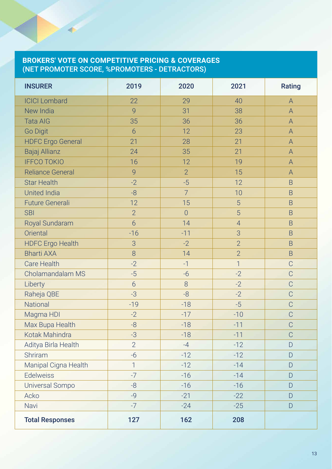#### **BROKERS' VOTE ON COMPETITIVE PRICING & COVERAGES** (NET PROMOTER SCORE, %PROMOTERS - DETRACTORS)

| <b>INSURER</b>           | 2019            | 2020           | 2021           | Rating         |
|--------------------------|-----------------|----------------|----------------|----------------|
| <b>ICICI Lombard</b>     | 22              | 29             | 40             | $\overline{A}$ |
| New India                | 9               | 31             | 38             | $\overline{A}$ |
| <b>Tata AIG</b>          | 35              | 36             | 36             | A              |
| <b>Go Digit</b>          | $6\overline{6}$ | 12             | 23             | А              |
| <b>HDFC Ergo General</b> | 21              | 28             | 21             | $\overline{A}$ |
| Bajaj Allianz            | 24              | 35             | 21             | Α              |
| <b>IFFCO TOKIO</b>       | 16              | 12             | 19             | Α              |
| <b>Reliance General</b>  | $\overline{9}$  | $\overline{2}$ | 15             | A              |
| <b>Star Health</b>       | $-2$            | $-5$           | 12             | B              |
| <b>United India</b>      | $-8$            | $\overline{7}$ | 10             | B              |
| <b>Future Generali</b>   | 12              | 15             | 5              | $\overline{B}$ |
| <b>SBI</b>               | $\overline{2}$  | $\overline{0}$ | 5              | B              |
| Royal Sundaram           | $6\overline{6}$ | 14             | $\overline{4}$ | B              |
| Oriental                 | $-16$           | $-11$          | 3              | B              |
| <b>HDFC Ergo Health</b>  | 3               | $-2$           | $\overline{2}$ | B              |
| <b>Bharti AXA</b>        | 8               | 14             | $\overline{2}$ | B              |
| <b>Care Health</b>       | $-2$            | $-1$           | $\overline{1}$ | $\overline{C}$ |
| Cholamandalam MS         | $-5$            | $-6$           | $-2$           | $\overline{C}$ |
| Liberty                  | $6\overline{6}$ | 8              | $-2$           | $\overline{C}$ |
| Raheja QBE               | $-3$            | -8             | $-2$           | $\overline{C}$ |
| National                 | $-19$           | $-18$          | $-5$           | $\overline{C}$ |
| Magma HDI                | $-2$            | $-17$          | $-10$          | $\overline{C}$ |
| Max Bupa Health          | $-8$            | $-18$          | $-11$          | $\overline{C}$ |
| Kotak Mahindra           | $-3$            | $-18$          | $-11$          | $\overline{C}$ |
| Aditya Birla Health      | $\overline{2}$  | $-4$           | $-12$          | D              |
| Shriram                  | $-6$            | $-12$          | $-12$          | D              |
| Manipal Cigna Health     | $\mathbf{1}$    | $-12$          | $-14$          | D              |
| <b>Edelweiss</b>         | $-7$            | $-16$          | $-14$          | D              |
| <b>Universal Sompo</b>   | $-8$            | $-16$          | $-16$          | D              |
| Acko                     | $-9$            | $-21$          | $-22$          | D              |
| Navi                     | $-7$            | $-24$          | $-25$          | D              |
| <b>Total Responses</b>   | 127             | 162            | 208            |                |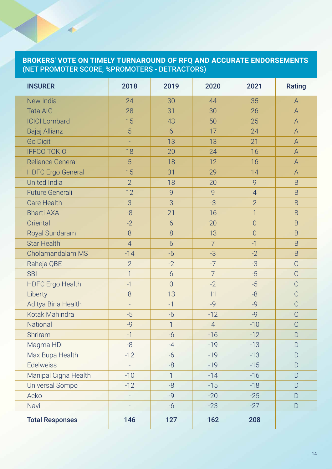#### **BROKERS' VOTE ON TIMELY TURNAROUND OF RFQ AND ACCURATE ENDORSEMENTS**  (NET PROMOTER SCORE, %PROMOTERS - DETRACTORS)

| <b>INSURER</b>           | 2018           | 2019           | 2020           | 2021           | Rating                                                                |
|--------------------------|----------------|----------------|----------------|----------------|-----------------------------------------------------------------------|
| New India                | 24             | 30             | 44             | 35             | $\mathsf A$                                                           |
| <b>Tata AIG</b>          | 28             | 31             | 30             | 26             | A                                                                     |
| <b>ICICI Lombard</b>     | 15             | 43             | 50             | 25             | $\overline{A}$                                                        |
| Bajaj Allianz            | 5              | 6              | 17             | 24             | $\overline{A}$                                                        |
| <b>Go Digit</b>          | L,             | 13             | 13             | 21             | $\overline{A}$                                                        |
| <b>IFFCO TOKIO</b>       | 18             | 20             | 24             | 16             | $\mathsf{A}% _{\mathsf{A}}^{\prime}=\mathsf{A}_{\mathsf{A}}^{\prime}$ |
| <b>Reliance General</b>  | 5              | 18             | 12             | 16             | A                                                                     |
| <b>HDFC Ergo General</b> | 15             | 31             | 29             | 14             | A                                                                     |
| <b>United India</b>      | $\overline{2}$ | 18             | 20             | 9              | B                                                                     |
| <b>Future Generali</b>   | 12             | 9              | 9              | $\overline{4}$ | B                                                                     |
| <b>Care Health</b>       | 3              | 3              | $-3$           | $\overline{2}$ | $\overline{B}$                                                        |
| <b>Bharti AXA</b>        | -8             | 21             | 16             | $\overline{1}$ | $\overline{B}$                                                        |
| Oriental                 | $-2$           | 6              | 20             | $\overline{0}$ | B                                                                     |
| Royal Sundaram           | 8              | 8              | 13             | $\overline{0}$ | $\overline{B}$                                                        |
| <b>Star Health</b>       | $\overline{4}$ | 6              | $\overline{7}$ | $-1$           | B                                                                     |
| Cholamandalam MS         | $-14$          | $-6$           | $-3$           | $-2$           | B                                                                     |
| Raheja QBE               | $\overline{2}$ | $-2$           | $-7$           | $-3$           | $\overline{C}$                                                        |
| <b>SBI</b>               | $\overline{1}$ | 6              | $\overline{7}$ | $-5$           | $\overline{C}$                                                        |
| <b>HDFC Ergo Health</b>  | $-1$           | $\overline{O}$ | $-2$           | $-5$           | $\mathcal{C}$                                                         |
| Liberty                  | 8              | 13             | 11             | $-8$           | $\mathcal{C}$                                                         |
| Aditya Birla Health      | L,             | $-1$           | $-9$           | $-9$           | C                                                                     |
| Kotak Mahindra           | $-5$           | $-6$           | $-12$          | $-9$           | $\overline{C}$                                                        |
| <b>National</b>          | $-9$           | $\overline{1}$ | $\overline{4}$ | $-10$          | $\mathcal{C}$                                                         |
| Shriram                  | $-1$           | $-6$           | $-16$          | $-12$          | D                                                                     |
| Magma HDI                | -8             | $-4$           | $-19$          | $-13$          | D                                                                     |
| Max Bupa Health          | $-12$          | $-6$           | $-19$          | $-13$          | D                                                                     |
| <b>Edelweiss</b>         | L,             | -8             | $-19$          | $-15$          | D                                                                     |
| Manipal Cigna Health     | $-10$          | $\mathbf{1}$   | $-14$          | $-16$          | D                                                                     |
| Universal Sompo          | $-12$          | -8             | $-15$          | $-18$          | D                                                                     |
| Acko                     | $\Box$         | $-9$           | $-20$          | $-25$          | D                                                                     |
| Navi                     | $\overline{a}$ | $-6$           | $-23$          | $-27$          | D                                                                     |
| <b>Total Responses</b>   | 146            | 127            | 162            | 208            |                                                                       |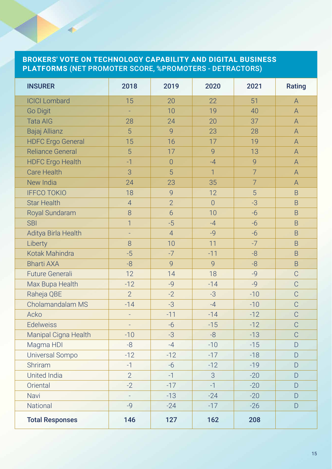#### **BROKERS' VOTE ON TECHNOLOGY CAPABILITY AND DIGITAL BUSINESS PLATFORMS** (NET PROMOTER SCORE, %PROMOTERS - DETRACTORS)

| <b>INSURER</b>           | 2018           | 2019           | 2020           | 2021           | Rating         |
|--------------------------|----------------|----------------|----------------|----------------|----------------|
| <b>ICICI Lombard</b>     | 15             | 20             | 22             | 51             | $\bigwedge$    |
| <b>Go Digit</b>          | ÷,             | 10             | 19             | 40             | $\overline{A}$ |
| <b>Tata AIG</b>          | 28             | 24             | 20             | 37             | A              |
| Bajaj Allianz            | 5              | 9              | 23             | 28             | $\overline{A}$ |
| <b>HDFC Ergo General</b> | 15             | 16             | 17             | 19             | $\overline{A}$ |
| <b>Reliance General</b>  | 5              | 17             | 9              | 13             | $\overline{A}$ |
| <b>HDFC Ergo Health</b>  | $-1$           | $\overline{0}$ | $-4$           | 9              | $\mathsf A$    |
| <b>Care Health</b>       | 3              | 5              | $\mathbf{1}$   | $\overline{7}$ | A              |
| New India                | 24             | 23             | 35             | $\overline{7}$ | $\mathsf{A}$   |
| <b>IFFCO TOKIO</b>       | 18             | 9              | 12             | 5              | B              |
| <b>Star Health</b>       | $\overline{4}$ | $\overline{2}$ | $\overline{0}$ | $-3$           | $\mathsf B$    |
| Royal Sundaram           | 8              | $\overline{6}$ | 10             | $-6$           | B              |
| <b>SBI</b>               | $\overline{1}$ | $-5$           | $-4$           | $-6$           | $\overline{B}$ |
| Aditya Birla Health      | ÷,             | $\overline{4}$ | $-9$           | $-6$           | B              |
| Liberty                  | 8              | 10             | 11             | $-7$           | $\overline{B}$ |
| Kotak Mahindra           | $-5$           | $-7$           | $-11$          | $-8$           | B              |
| <b>Bharti AXA</b>        | $-8$           | 9              | 9              | $-8$           | B              |
| <b>Future Generali</b>   | 12             | 14             | 18             | $-9$           | $\overline{C}$ |
| Max Bupa Health          | $-12$          | $-9$           | $-14$          | $-9$           | $\mathcal{C}$  |
| Raheja QBE               | $\overline{2}$ | $-2$           | $-3$           | $-10$          | C              |
| Cholamandalam MS         | $-14$          | $-3$           | $-4$           | $-10$          | $\overline{C}$ |
| Acko                     | ÷,             | $-11$          | $-14$          | $-12$          | $\overline{C}$ |
| <b>Edelweiss</b>         |                | $-6$           | $-15$          | $-12$          | $\overline{C}$ |
| Manipal Cigna Health     | $-10$          | $-3$           | $-8$           | $-13$          | $\overline{C}$ |
| Magma HDI                | $-8$           | $-4$           | $-10$          | $-15$          | D              |
| Universal Sompo          | $-12$          | $-12$          | $-17$          | $-18$          | D              |
| Shriram                  | $-1$           | $-6$           | $-12$          | $-19$          | D              |
| <b>United India</b>      | $\overline{2}$ | $-1$           | 3              | $-20$          | D              |
| Oriental                 | $-2$           | $-17$          | $-1$           | $-20$          | $\Box$         |
| Navi                     | L,             | $-13$          | $-24$          | $-20$          | $\Box$         |
| National                 | $-9$           | $-24$          | $-17$          | $-26$          | $\mathsf{D}$   |
| <b>Total Responses</b>   | 146            | 127            | 162            | 208            |                |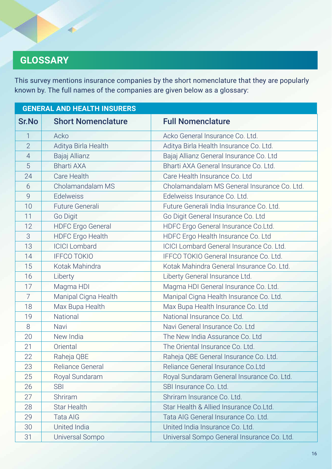# **GLOSSARY**

This survey mentions insurance companies by the short nomenclature that they are popularly known by. The full names of the companies are given below as a glossary:

| <b>GENERAL AND HEALTH INSURERS</b> |                           |                                                 |  |  |
|------------------------------------|---------------------------|-------------------------------------------------|--|--|
| <b>Sr.No</b>                       | <b>Short Nomenclature</b> | <b>Full Nomenclature</b>                        |  |  |
| 1                                  | Acko                      | Acko General Insurance Co. Ltd.                 |  |  |
| $\overline{2}$                     | Aditya Birla Health       | Aditya Birla Health Insurance Co. Ltd.          |  |  |
| $\overline{4}$                     | Bajaj Allianz             | Bajaj Allianz General Insurance Co. Ltd         |  |  |
| 5                                  | <b>Bharti AXA</b>         | Bharti AXA General Insurance Co. Ltd.           |  |  |
| 24                                 | Care Health               | Care Health Insurance Co. Ltd                   |  |  |
| 6                                  | Cholamandalam MS          | Cholamandalam MS General Insurance Co. Ltd.     |  |  |
| 9                                  | Edelweiss                 | Edelweiss Insurance Co. Ltd.                    |  |  |
| 10                                 | <b>Future Generali</b>    | Future Generali India Insurance Co. Ltd.        |  |  |
| 11                                 | Go Digit                  | Go Digit General Insurance Co. Ltd              |  |  |
| 12                                 | <b>HDFC Ergo General</b>  | HDFC Ergo General Insurance Co.Ltd.             |  |  |
| 3                                  | <b>HDFC Ergo Health</b>   | HDFC Ergo Health Insurance Co. Ltd              |  |  |
| 13                                 | <b>ICICI Lombard</b>      | <b>ICICI Lombard General Insurance Co. Ltd.</b> |  |  |
| 14                                 | <b>IFFCO TOKIO</b>        | IFFCO TOKIO General Insurance Co. Ltd.          |  |  |
| 15                                 | Kotak Mahindra            | Kotak Mahindra General Insurance Co. Ltd.       |  |  |
| 16                                 | Liberty                   | Liberty General Insurance Ltd.                  |  |  |
| 17                                 | Magma HDI                 | Magma HDI General Insurance Co. Ltd.            |  |  |
| $\overline{7}$                     | Manipal Cigna Health      | Manipal Cigna Health Insurance Co. Ltd.         |  |  |
| 18                                 | Max Bupa Health           | Max Bupa Health Insurance Co. Ltd               |  |  |
| 19                                 | National                  | National Insurance Co. Ltd.                     |  |  |
| 8                                  | Navi                      | Navi General Insurance Co. Ltd                  |  |  |
| 20                                 | New India                 | The New India Assurance Co. Ltd                 |  |  |
| 21                                 | Oriental                  | The Oriental Insurance Co. Ltd.                 |  |  |
| 22                                 | Raheja QBE                | Raheja QBE General Insurance Co. Ltd.           |  |  |
| 23                                 | Reliance General          | Reliance General Insurance Co.Ltd               |  |  |
| 25                                 | Royal Sundaram            | Royal Sundaram General Insurance Co. Ltd.       |  |  |
| 26                                 | <b>SBI</b>                | SBI Insurance Co. Ltd.                          |  |  |
| 27                                 | Shriram                   | Shriram Insurance Co. Ltd.                      |  |  |
| 28                                 | <b>Star Health</b>        | Star Health & Allied Insurance Co.Ltd.          |  |  |
| 29                                 | <b>Tata AIG</b>           | Tata AIG General Insurance Co. Ltd.             |  |  |
| 30                                 | United India              | United India Insurance Co. Ltd.                 |  |  |
| 31                                 | Universal Sompo           | Universal Sompo General Insurance Co. Ltd.      |  |  |